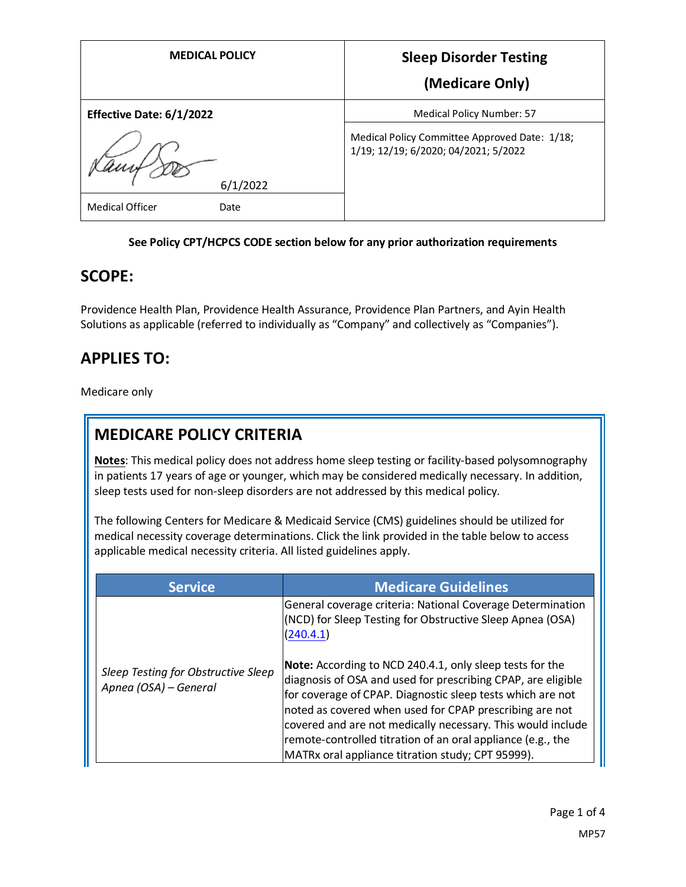| <b>MEDICAL POLICY</b>    | <b>Sleep Disorder Testing</b>                                                         |
|--------------------------|---------------------------------------------------------------------------------------|
|                          | (Medicare Only)                                                                       |
| Effective Date: 6/1/2022 | Medical Policy Number: 57                                                             |
|                          | Medical Policy Committee Approved Date: 1/18;<br>1/19; 12/19; 6/2020; 04/2021; 5/2022 |
| 6/1/2022                 |                                                                                       |
| Medical Officer<br>Date  |                                                                                       |

#### **See Policy CPT/HCPCS CODE section below for any prior authorization requirements**

### **SCOPE:**

Providence Health Plan, Providence Health Assurance, Providence Plan Partners, and Ayin Health Solutions as applicable (referred to individually as "Company" and collectively as "Companies").

# **APPLIES TO:**

Medicare only

## **MEDICARE POLICY CRITERIA**

**Notes**: This medical policy does not address home sleep testing or facility-based polysomnography in patients 17 years of age or younger, which may be considered medically necessary. In addition, sleep tests used for non-sleep disorders are not addressed by this medical policy.

The following Centers for Medicare & Medicaid Service (CMS) guidelines should be utilized for medical necessity coverage determinations. Click the link provided in the table below to access applicable medical necessity criteria. All listed guidelines apply.

| <b>Service</b>                                               | <b>Medicare Guidelines</b>                                                                                                                                                                                                                                                                                                                                                                                                           |
|--------------------------------------------------------------|--------------------------------------------------------------------------------------------------------------------------------------------------------------------------------------------------------------------------------------------------------------------------------------------------------------------------------------------------------------------------------------------------------------------------------------|
|                                                              | General coverage criteria: National Coverage Determination<br>(NCD) for Sleep Testing for Obstructive Sleep Apnea (OSA)<br>(240.4.1)                                                                                                                                                                                                                                                                                                 |
| Sleep Testing for Obstructive Sleep<br>Apnea (OSA) - General | Note: According to NCD 240.4.1, only sleep tests for the<br>diagnosis of OSA and used for prescribing CPAP, are eligible<br>for coverage of CPAP. Diagnostic sleep tests which are not<br>noted as covered when used for CPAP prescribing are not<br>covered and are not medically necessary. This would include<br>remote-controlled titration of an oral appliance (e.g., the<br>MATRx oral appliance titration study; CPT 95999). |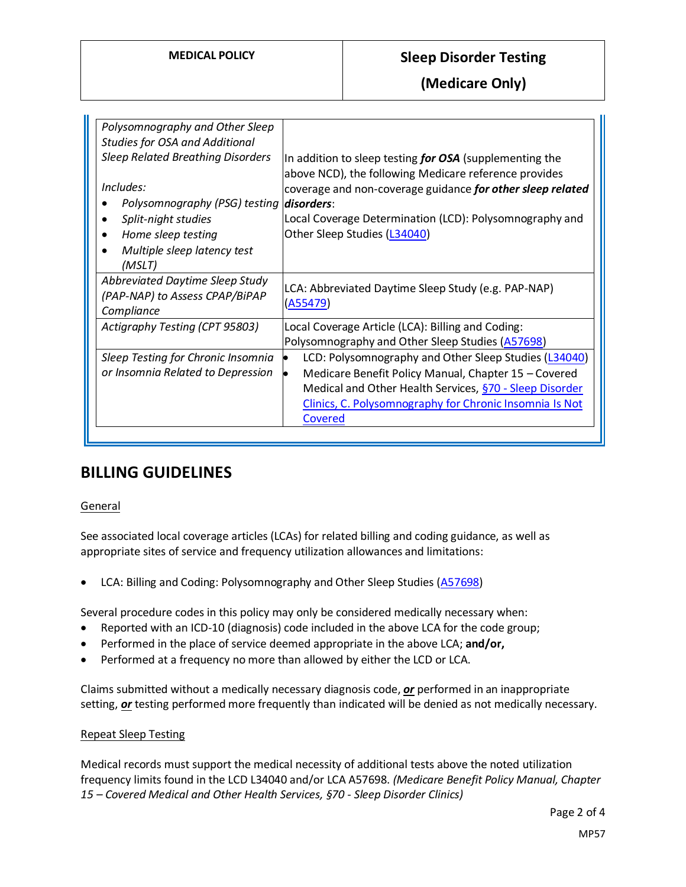### **MEDICAL POLICY Sleep Disorder Testing**

**(Medicare Only)**

| Polysomnography and Other Sleep<br><b>Studies for OSA and Additional</b><br><b>Sleep Related Breathing Disorders</b> | In addition to sleep testing for OSA (supplementing the                                                             |
|----------------------------------------------------------------------------------------------------------------------|---------------------------------------------------------------------------------------------------------------------|
| Includes:                                                                                                            | above NCD), the following Medicare reference provides<br>coverage and non-coverage guidance for other sleep related |
| Polysomnography (PSG) testing                                                                                        | disorders:                                                                                                          |
| Split-night studies                                                                                                  | Local Coverage Determination (LCD): Polysomnography and                                                             |
| Home sleep testing                                                                                                   | Other Sleep Studies (L34040)                                                                                        |
| Multiple sleep latency test<br>$\bullet$<br>(MSLT)                                                                   |                                                                                                                     |
| Abbreviated Daytime Sleep Study<br>(PAP-NAP) to Assess CPAP/BiPAP<br>Compliance                                      | LCA: Abbreviated Daytime Sleep Study (e.g. PAP-NAP)<br>(A55479)                                                     |
| Actigraphy Testing (CPT 95803)                                                                                       | Local Coverage Article (LCA): Billing and Coding:<br>Polysomnography and Other Sleep Studies (A57698)               |
| Sleep Testing for Chronic Insomnia                                                                                   | LCD: Polysomnography and Other Sleep Studies (L34040)                                                               |
| or Insomnia Related to Depression                                                                                    | Medicare Benefit Policy Manual, Chapter 15 - Covered                                                                |
|                                                                                                                      | Medical and Other Health Services, §70 - Sleep Disorder                                                             |
|                                                                                                                      | Clinics, C. Polysomnography for Chronic Insomnia Is Not                                                             |
|                                                                                                                      | Covered                                                                                                             |

### **BILLING GUIDELINES**

#### General

See associated local coverage articles (LCAs) for related billing and coding guidance, as well as appropriate sites of service and frequency utilization allowances and limitations:

LCA: Billing and Coding: Polysomnography and Other Sleep Studies [\(A57698\)](https://www.cms.gov/medicare-coverage-database/details/article-details.aspx?articleId=57698)

Several procedure codes in this policy may only be considered medically necessary when:

- Reported with an ICD-10 (diagnosis) code included in the above LCA for the code group;
- Performed in the place of service deemed appropriate in the above LCA; **and/or,**
- Performed at a frequency no more than allowed by either the LCD or LCA.

Claims submitted without a medically necessary diagnosis code, *or* performed in an inappropriate setting, *or* testing performed more frequently than indicated will be denied as not medically necessary.

### Repeat Sleep Testing

Medical records must support the medical necessity of additional tests above the noted utilization frequency limits found in the LCD L34040 and/or LCA A57698. *(Medicare Benefit Policy Manual, Chapter 15 – Covered Medical and Other Health Services, §70 - Sleep Disorder Clinics)*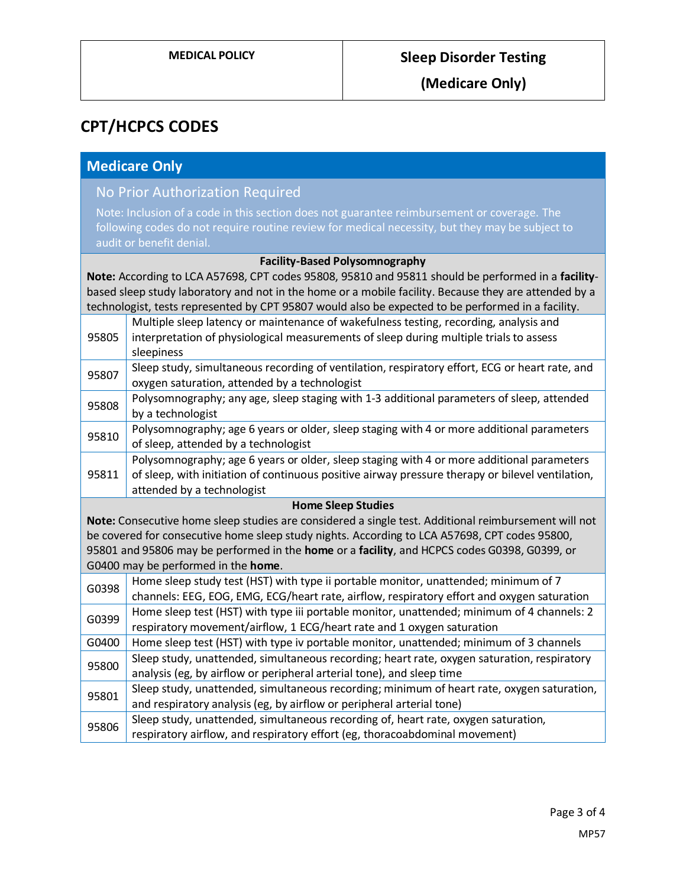# **CPT/HCPCS CODES**

### **Medicare Only**

# No Prior Authorization Required

Note: Inclusion of a code in this section does not guarantee reimbursement or coverage. The following codes do not require routine review for medical necessity, but they may be subject to audit or benefit denial.

#### **Facility-Based Polysomnography**

**Note:** According to LCA A57698, CPT codes 95808, 95810 and 95811 should be performed in a **facility**based sleep study laboratory and not in the home or a mobile facility. Because they are attended by a technologist, tests represented by CPT 95807 would also be expected to be performed in a facility.

|                                                                                                      | Multiple sleep latency or maintenance of wakefulness testing, recording, analysis and                                                                                                                                       |  |
|------------------------------------------------------------------------------------------------------|-----------------------------------------------------------------------------------------------------------------------------------------------------------------------------------------------------------------------------|--|
| 95805                                                                                                | interpretation of physiological measurements of sleep during multiple trials to assess<br>sleepiness                                                                                                                        |  |
| 95807                                                                                                | Sleep study, simultaneous recording of ventilation, respiratory effort, ECG or heart rate, and<br>oxygen saturation, attended by a technologist                                                                             |  |
| 95808                                                                                                | Polysomnography; any age, sleep staging with 1-3 additional parameters of sleep, attended<br>by a technologist                                                                                                              |  |
| 95810                                                                                                | Polysomnography; age 6 years or older, sleep staging with 4 or more additional parameters<br>of sleep, attended by a technologist                                                                                           |  |
| 95811                                                                                                | Polysomnography; age 6 years or older, sleep staging with 4 or more additional parameters<br>of sleep, with initiation of continuous positive airway pressure therapy or bilevel ventilation,<br>attended by a technologist |  |
| <b>Home Sleep Studies</b>                                                                            |                                                                                                                                                                                                                             |  |
| Note: Consecutive home sleep studies are considered a single test. Additional reimbursement will not |                                                                                                                                                                                                                             |  |
| be covered for consecutive home sleep study nights. According to LCA A57698, CPT codes 95800,        |                                                                                                                                                                                                                             |  |
| 95801 and 95806 may be performed in the home or a facility, and HCPCS codes G0398, G0399, or         |                                                                                                                                                                                                                             |  |
| G0400 may be performed in the home.                                                                  |                                                                                                                                                                                                                             |  |
| G0398                                                                                                | Home sleep study test (HST) with type ii portable monitor, unattended; minimum of 7<br>channels: EEG, EOG, EMG, ECG/heart rate, airflow, respiratory effort and oxygen saturation                                           |  |
| G0399                                                                                                | Home sleep test (HST) with type iii portable monitor, unattended; minimum of 4 channels: 2<br>respiratory movement/airflow, 1 ECG/heart rate and 1 oxygen saturation                                                        |  |
| G0400                                                                                                | Home sleep test (HST) with type iv portable monitor, unattended; minimum of 3 channels                                                                                                                                      |  |
| 95800                                                                                                | Sleep study, unattended, simultaneous recording; heart rate, oxygen saturation, respiratory<br>analysis (eg, by airflow or peripheral arterial tone), and sleep time                                                        |  |
| 95801                                                                                                | Sleep study, unattended, simultaneous recording; minimum of heart rate, oxygen saturation,<br>and respiratory analysis (eg, by airflow or peripheral arterial tone)                                                         |  |
| Sleep study, unattended, simultaneous recording of, heart rate, oxygen saturation,                   |                                                                                                                                                                                                                             |  |
| 95806                                                                                                | respiratory airflow, and respiratory effort (eg, thoracoabdominal movement)                                                                                                                                                 |  |